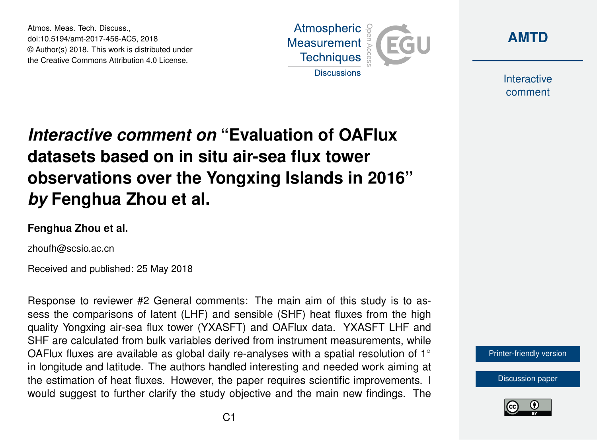Atmos. Meas. Tech. Discuss., doi:10.5194/amt-2017-456-AC5, 2018 © Author(s) 2018. This work is distributed under the Creative Commons Attribution 4.0 License.





**Interactive** comment

# *Interactive comment on* **"Evaluation of OAFlux datasets based on in situ air-sea flux tower observations over the Yongxing Islands in 2016"** *by* **Fenghua Zhou et al.**

#### **Fenghua Zhou et al.**

zhoufh@scsio.ac.cn

Received and published: 25 May 2018

Response to reviewer #2 General comments: The main aim of this study is to assess the comparisons of latent (LHF) and sensible (SHF) heat fluxes from the high quality Yongxing air-sea flux tower (YXASFT) and OAFlux data. YXASFT LHF and SHF are calculated from bulk variables derived from instrument measurements, while OAFlux fluxes are available as global daily re-analyses with a spatial resolution of  $1^\circ$ in longitude and latitude. The authors handled interesting and needed work aiming at the estimation of heat fluxes. However, the paper requires scientific improvements. I would suggest to further clarify the study objective and the main new findings. The

[Printer-friendly version](https://www.atmos-meas-tech-discuss.net/amt-2017-456/amt-2017-456-AC5-print.pdf)

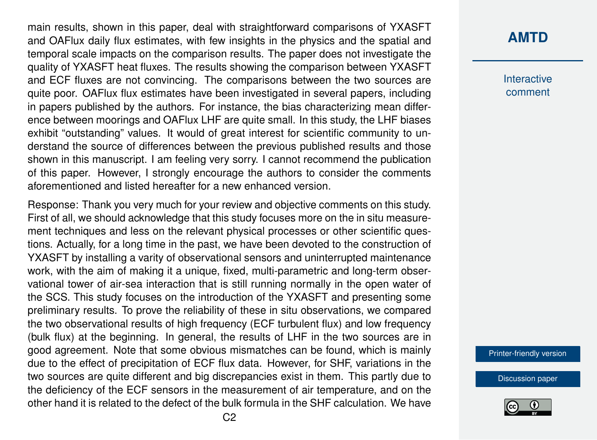main results, shown in this paper, deal with straightforward comparisons of YXASFT and OAFlux daily flux estimates, with few insights in the physics and the spatial and temporal scale impacts on the comparison results. The paper does not investigate the quality of YXASFT heat fluxes. The results showing the comparison between YXASFT and ECF fluxes are not convincing. The comparisons between the two sources are quite poor. OAFlux flux estimates have been investigated in several papers, including in papers published by the authors. For instance, the bias characterizing mean difference between moorings and OAFlux LHF are quite small. In this study, the LHF biases exhibit "outstanding" values. It would of great interest for scientific community to understand the source of differences between the previous published results and those shown in this manuscript. I am feeling very sorry. I cannot recommend the publication of this paper. However, I strongly encourage the authors to consider the comments aforementioned and listed hereafter for a new enhanced version.

Response: Thank you very much for your review and objective comments on this study. First of all, we should acknowledge that this study focuses more on the in situ measurement techniques and less on the relevant physical processes or other scientific questions. Actually, for a long time in the past, we have been devoted to the construction of YXASFT by installing a varity of observational sensors and uninterrupted maintenance work, with the aim of making it a unique, fixed, multi-parametric and long-term observational tower of air-sea interaction that is still running normally in the open water of the SCS. This study focuses on the introduction of the YXASFT and presenting some preliminary results. To prove the reliability of these in situ observations, we compared the two observational results of high frequency (ECF turbulent flux) and low frequency (bulk flux) at the beginning. In general, the results of LHF in the two sources are in good agreement. Note that some obvious mismatches can be found, which is mainly due to the effect of precipitation of ECF flux data. However, for SHF, variations in the two sources are quite different and big discrepancies exist in them. This partly due to the deficiency of the ECF sensors in the measurement of air temperature, and on the other hand it is related to the defect of the bulk formula in the SHF calculation. We have

#### **[AMTD](https://www.atmos-meas-tech-discuss.net/)**

**Interactive** comment

[Printer-friendly version](https://www.atmos-meas-tech-discuss.net/amt-2017-456/amt-2017-456-AC5-print.pdf)

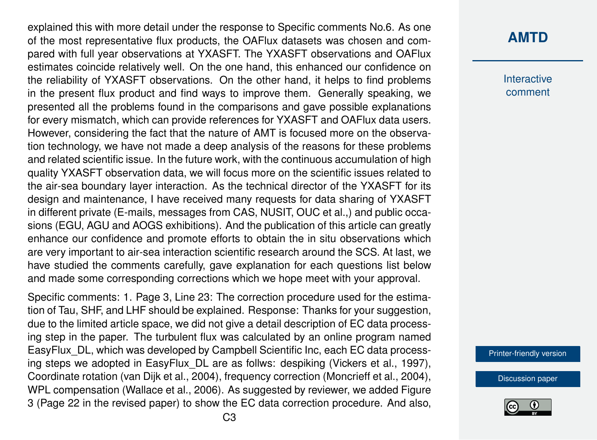explained this with more detail under the response to Specific comments No.6. As one of the most representative flux products, the OAFlux datasets was chosen and compared with full year observations at YXASFT. The YXASFT observations and OAFlux estimates coincide relatively well. On the one hand, this enhanced our confidence on the reliability of YXASFT observations. On the other hand, it helps to find problems in the present flux product and find ways to improve them. Generally speaking, we presented all the problems found in the comparisons and gave possible explanations for every mismatch, which can provide references for YXASFT and OAFlux data users. However, considering the fact that the nature of AMT is focused more on the observation technology, we have not made a deep analysis of the reasons for these problems and related scientific issue. In the future work, with the continuous accumulation of high quality YXASFT observation data, we will focus more on the scientific issues related to the air-sea boundary layer interaction. As the technical director of the YXASFT for its design and maintenance, I have received many requests for data sharing of YXASFT in different private (E-mails, messages from CAS, NUSIT, OUC et al.,) and public occasions (EGU, AGU and AOGS exhibitions). And the publication of this article can greatly enhance our confidence and promote efforts to obtain the in situ observations which are very important to air-sea interaction scientific research around the SCS. At last, we have studied the comments carefully, gave explanation for each questions list below and made some corresponding corrections which we hope meet with your approval.

Specific comments: 1. Page 3, Line 23: The correction procedure used for the estimation of Tau, SHF, and LHF should be explained. Response: Thanks for your suggestion, due to the limited article space, we did not give a detail description of EC data processing step in the paper. The turbulent flux was calculated by an online program named EasyFlux\_DL, which was developed by Campbell Scientific Inc, each EC data processing steps we adopted in EasyFlux\_DL are as follws: despiking (Vickers et al., 1997), Coordinate rotation (van Dijk et al., 2004), frequency correction (Moncrieff et al., 2004), WPL compensation (Wallace et al., 2006). As suggested by reviewer, we added Figure 3 (Page 22 in the revised paper) to show the EC data correction procedure. And also,

### **[AMTD](https://www.atmos-meas-tech-discuss.net/)**

**Interactive** comment

[Printer-friendly version](https://www.atmos-meas-tech-discuss.net/amt-2017-456/amt-2017-456-AC5-print.pdf)

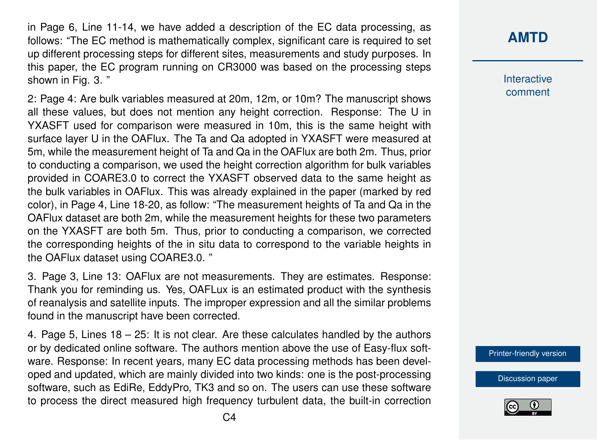in Page 6, Line 11-14, we have added a description of the EC data processing, as follows: "The EC method is mathematically complex, significant care is required to set up different processing steps for different sites, measurements and study purposes. In this paper, the EC program running on CR3000 was based on the processing steps shown in Fig. 3. "

2: Page 4: Are bulk variables measured at 20m, 12m, or 10m? The manuscript shows all these values, but does not mention any height correction. Response: The U in YXASFT used for comparison were measured in 10m, this is the same height with surface layer U in the OAFlux. The Ta and Qa adopted in YXASFT were measured at 5m, while the measurement height of Ta and Qa in the OAFlux are both 2m. Thus, prior to conducting a comparison, we used the height correction algorithm for bulk variables provided in COARE3.0 to correct the YXASFT observed data to the same height as the bulk variables in OAFlux. This was already explained in the paper (marked by red color), in Page 4, Line 18-20, as follow: "The measurement heights of Ta and Qa in the OAFlux dataset are both 2m, while the measurement heights for these two parameters on the YXASFT are both 5m. Thus, prior to conducting a comparison, we corrected the corresponding heights of the in situ data to correspond to the variable heights in the OAFlux dataset using COARE3.0. "

3. Page 3, Line 13: OAFlux are not measurements. They are estimates. Response: Thank you for reminding us. Yes, OAFLux is an estimated product with the synthesis of reanalysis and satellite inputs. The improper expression and all the similar problems found in the manuscript have been corrected.

4. Page 5, Lines 18 – 25: It is not clear. Are these calculates handled by the authors or by dedicated online software. The authors mention above the use of Easy-flux software. Response: In recent years, many EC data processing methods has been developed and updated, which are mainly divided into two kinds: one is the post-processing software, such as EdiRe, EddyPro, TK3 and so on. The users can use these software to process the direct measured high frequency turbulent data, the built-in correction **Interactive** comment

[Printer-friendly version](https://www.atmos-meas-tech-discuss.net/amt-2017-456/amt-2017-456-AC5-print.pdf)

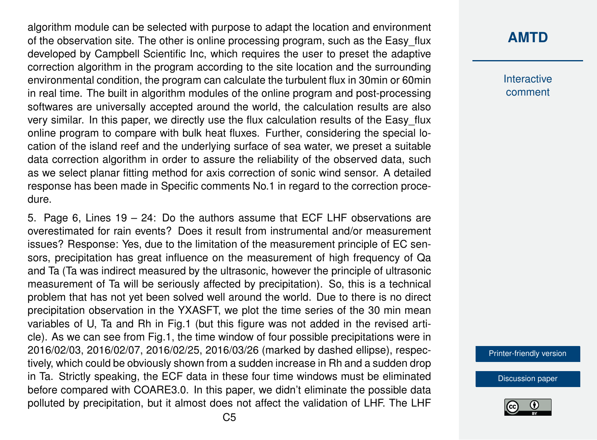algorithm module can be selected with purpose to adapt the location and environment of the observation site. The other is online processing program, such as the Easy\_flux developed by Campbell Scientific Inc, which requires the user to preset the adaptive correction algorithm in the program according to the site location and the surrounding environmental condition, the program can calculate the turbulent flux in 30min or 60min in real time. The built in algorithm modules of the online program and post-processing softwares are universally accepted around the world, the calculation results are also very similar. In this paper, we directly use the flux calculation results of the Easy\_flux online program to compare with bulk heat fluxes. Further, considering the special location of the island reef and the underlying surface of sea water, we preset a suitable data correction algorithm in order to assure the reliability of the observed data, such as we select planar fitting method for axis correction of sonic wind sensor. A detailed response has been made in Specific comments No.1 in regard to the correction procedure.

5. Page 6, Lines 19 – 24: Do the authors assume that ECF LHF observations are overestimated for rain events? Does it result from instrumental and/or measurement issues? Response: Yes, due to the limitation of the measurement principle of EC sensors, precipitation has great influence on the measurement of high frequency of Qa and Ta (Ta was indirect measured by the ultrasonic, however the principle of ultrasonic measurement of Ta will be seriously affected by precipitation). So, this is a technical problem that has not yet been solved well around the world. Due to there is no direct precipitation observation in the YXASFT, we plot the time series of the 30 min mean variables of U, Ta and Rh in Fig.1 (but this figure was not added in the revised article). As we can see from Fig.1, the time window of four possible precipitations were in 2016/02/03, 2016/02/07, 2016/02/25, 2016/03/26 (marked by dashed ellipse), respectively, which could be obviously shown from a sudden increase in Rh and a sudden drop in Ta. Strictly speaking, the ECF data in these four time windows must be eliminated before compared with COARE3.0. In this paper, we didn't eliminate the possible data polluted by precipitation, but it almost does not affect the validation of LHF. The LHF

#### **[AMTD](https://www.atmos-meas-tech-discuss.net/)**

**Interactive** comment

[Printer-friendly version](https://www.atmos-meas-tech-discuss.net/amt-2017-456/amt-2017-456-AC5-print.pdf)

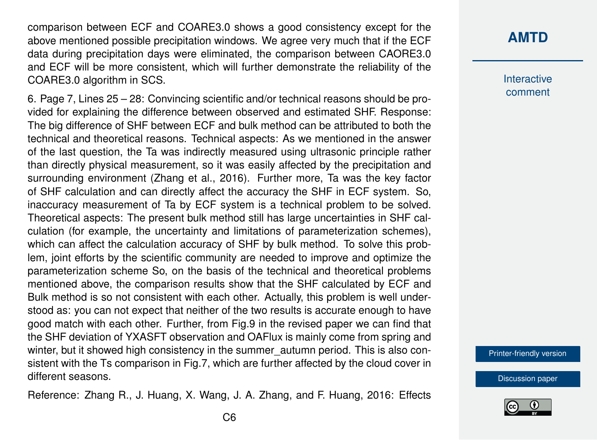comparison between ECF and COARE3.0 shows a good consistency except for the above mentioned possible precipitation windows. We agree very much that if the ECF data during precipitation days were eliminated, the comparison between CAORE3.0 and ECF will be more consistent, which will further demonstrate the reliability of the COARE3.0 algorithm in SCS.

6. Page 7, Lines 25 – 28: Convincing scientific and/or technical reasons should be provided for explaining the difference between observed and estimated SHF. Response: The big difference of SHF between ECF and bulk method can be attributed to both the technical and theoretical reasons. Technical aspects: As we mentioned in the answer of the last question, the Ta was indirectly measured using ultrasonic principle rather than directly physical measurement, so it was easily affected by the precipitation and surrounding environment (Zhang et al., 2016). Further more, Ta was the key factor of SHF calculation and can directly affect the accuracy the SHF in ECF system. So, inaccuracy measurement of Ta by ECF system is a technical problem to be solved. Theoretical aspects: The present bulk method still has large uncertainties in SHF calculation (for example, the uncertainty and limitations of parameterization schemes), which can affect the calculation accuracy of SHF by bulk method. To solve this problem, joint efforts by the scientific community are needed to improve and optimize the parameterization scheme So, on the basis of the technical and theoretical problems mentioned above, the comparison results show that the SHF calculated by ECF and Bulk method is so not consistent with each other. Actually, this problem is well understood as: you can not expect that neither of the two results is accurate enough to have good match with each other. Further, from Fig.9 in the revised paper we can find that the SHF deviation of YXASFT observation and OAFlux is mainly come from spring and winter, but it showed high consistency in the summer autumn period. This is also consistent with the Ts comparison in Fig.7, which are further affected by the cloud cover in different seasons.

Reference: Zhang R., J. Huang, X. Wang, J. A. Zhang, and F. Huang, 2016: Effects

#### **[AMTD](https://www.atmos-meas-tech-discuss.net/)**

**Interactive** comment

[Printer-friendly version](https://www.atmos-meas-tech-discuss.net/amt-2017-456/amt-2017-456-AC5-print.pdf)

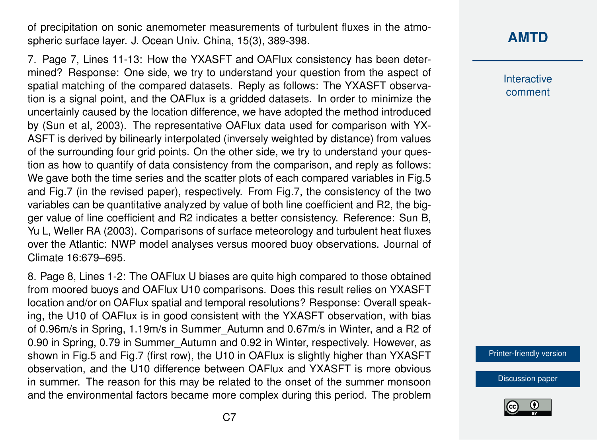of precipitation on sonic anemometer measurements of turbulent fluxes in the atmospheric surface layer. J. Ocean Univ. China, 15(3), 389-398.

7. Page 7, Lines 11-13: How the YXASFT and OAFlux consistency has been determined? Response: One side, we try to understand your question from the aspect of spatial matching of the compared datasets. Reply as follows: The YXASFT observation is a signal point, and the OAFlux is a gridded datasets. In order to minimize the uncertainly caused by the location difference, we have adopted the method introduced by (Sun et al, 2003). The representative OAFlux data used for comparison with YX-ASFT is derived by bilinearly interpolated (inversely weighted by distance) from values of the surrounding four grid points. On the other side, we try to understand your question as how to quantify of data consistency from the comparison, and reply as follows: We gave both the time series and the scatter plots of each compared variables in Fig.5 and Fig.7 (in the revised paper), respectively. From Fig.7, the consistency of the two variables can be quantitative analyzed by value of both line coefficient and R2, the bigger value of line coefficient and R2 indicates a better consistency. Reference: Sun B, Yu L, Weller RA (2003). Comparisons of surface meteorology and turbulent heat fluxes over the Atlantic: NWP model analyses versus moored buoy observations. Journal of Climate 16:679–695.

8. Page 8, Lines 1-2: The OAFlux U biases are quite high compared to those obtained from moored buoys and OAFlux U10 comparisons. Does this result relies on YXASFT location and/or on OAFlux spatial and temporal resolutions? Response: Overall speaking, the U10 of OAFlux is in good consistent with the YXASFT observation, with bias of 0.96m/s in Spring, 1.19m/s in Summer\_Autumn and 0.67m/s in Winter, and a R2 of 0.90 in Spring, 0.79 in Summer\_Autumn and 0.92 in Winter, respectively. However, as shown in Fig.5 and Fig.7 (first row), the U10 in OAFlux is slightly higher than YXASFT observation, and the U10 difference between OAFlux and YXASFT is more obvious in summer. The reason for this may be related to the onset of the summer monsoon and the environmental factors became more complex during this period. The problem

## **[AMTD](https://www.atmos-meas-tech-discuss.net/)**

**Interactive** comment

[Printer-friendly version](https://www.atmos-meas-tech-discuss.net/amt-2017-456/amt-2017-456-AC5-print.pdf)

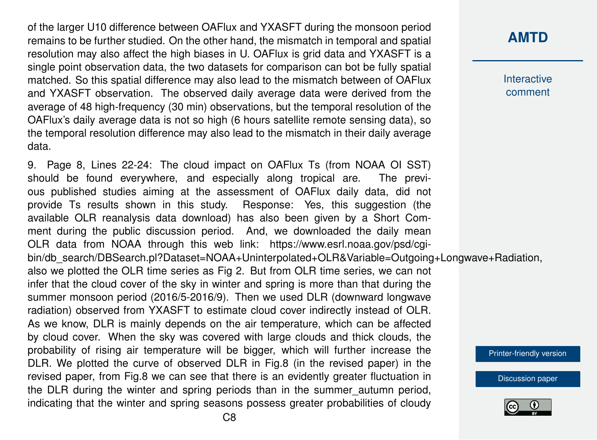of the larger U10 difference between OAFlux and YXASFT during the monsoon period remains to be further studied. On the other hand, the mismatch in temporal and spatial resolution may also affect the high biases in U. OAFlux is grid data and YXASFT is a single point observation data, the two datasets for comparison can bot be fully spatial matched. So this spatial difference may also lead to the mismatch between of OAFlux and YXASFT observation. The observed daily average data were derived from the average of 48 high-frequency (30 min) observations, but the temporal resolution of the OAFlux's daily average data is not so high (6 hours satellite remote sensing data), so the temporal resolution difference may also lead to the mismatch in their daily average data.

9. Page 8, Lines 22-24: The cloud impact on OAFlux Ts (from NOAA OI SST) should be found everywhere, and especially along tropical are. The previous published studies aiming at the assessment of OAFlux daily data, did not provide Ts results shown in this study. Response: Yes, this suggestion (the available OLR reanalysis data download) has also been given by a Short Comment during the public discussion period. And, we downloaded the daily mean OLR data from NOAA through this web link: https://www.esrl.noaa.gov/psd/cgibin/db\_search/DBSearch.pl?Dataset=NOAA+Uninterpolated+OLR&Variable=Outgoing+Longwave+Radiation, also we plotted the OLR time series as Fig 2. But from OLR time series, we can not infer that the cloud cover of the sky in winter and spring is more than that during the summer monsoon period (2016/5-2016/9). Then we used DLR (downward longwave radiation) observed from YXASFT to estimate cloud cover indirectly instead of OLR. As we know, DLR is mainly depends on the air temperature, which can be affected by cloud cover. When the sky was covered with large clouds and thick clouds, the probability of rising air temperature will be bigger, which will further increase the DLR. We plotted the curve of observed DLR in Fig.8 (in the revised paper) in the revised paper, from Fig.8 we can see that there is an evidently greater fluctuation in the DLR during the winter and spring periods than in the summer\_autumn period, indicating that the winter and spring seasons possess greater probabilities of cloudy

#### **[AMTD](https://www.atmos-meas-tech-discuss.net/)**

**Interactive** comment

[Printer-friendly version](https://www.atmos-meas-tech-discuss.net/amt-2017-456/amt-2017-456-AC5-print.pdf)

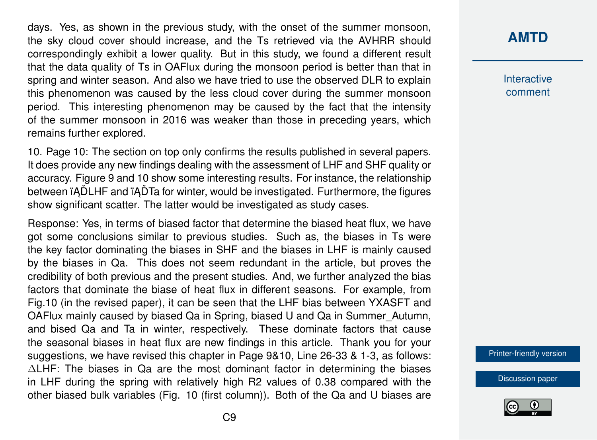days. Yes, as shown in the previous study, with the onset of the summer monsoon, the sky cloud cover should increase, and the Ts retrieved via the AVHRR should correspondingly exhibit a lower quality. But in this study, we found a different result that the data quality of Ts in OAFlux during the monsoon period is better than that in spring and winter season. And also we have tried to use the observed DLR to explain this phenomenon was caused by the less cloud cover during the summer monsoon period. This interesting phenomenon may be caused by the fact that the intensity of the summer monsoon in 2016 was weaker than those in preceding years, which remains further explored.

10. Page 10: The section on top only confirms the results published in several papers. It does provide any new findings dealing with the assessment of LHF and SHF quality or accuracy. Figure 9 and 10 show some interesting results. For instance, the relationship between in ADLHF and in ADTa for winter, would be investigated. Furthermore, the figures show significant scatter. The latter would be investigated as study cases.

Response: Yes, in terms of biased factor that determine the biased heat flux, we have got some conclusions similar to previous studies. Such as, the biases in Ts were the key factor dominating the biases in SHF and the biases in LHF is mainly caused by the biases in Qa. This does not seem redundant in the article, but proves the credibility of both previous and the present studies. And, we further analyzed the bias factors that dominate the biase of heat flux in different seasons. For example, from Fig.10 (in the revised paper), it can be seen that the LHF bias between YXASFT and OAFlux mainly caused by biased Qa in Spring, biased U and Qa in Summer\_Autumn, and bised Qa and Ta in winter, respectively. These dominate factors that cause the seasonal biases in heat flux are new findings in this article. Thank you for your suggestions, we have revised this chapter in Page 9&10, Line 26-33 & 1-3, as follows: ∆LHF: The biases in Qa are the most dominant factor in determining the biases in LHF during the spring with relatively high R2 values of 0.38 compared with the other biased bulk variables (Fig. 10 (first column)). Both of the Qa and U biases are

#### **[AMTD](https://www.atmos-meas-tech-discuss.net/)**

**Interactive** comment

[Printer-friendly version](https://www.atmos-meas-tech-discuss.net/amt-2017-456/amt-2017-456-AC5-print.pdf)